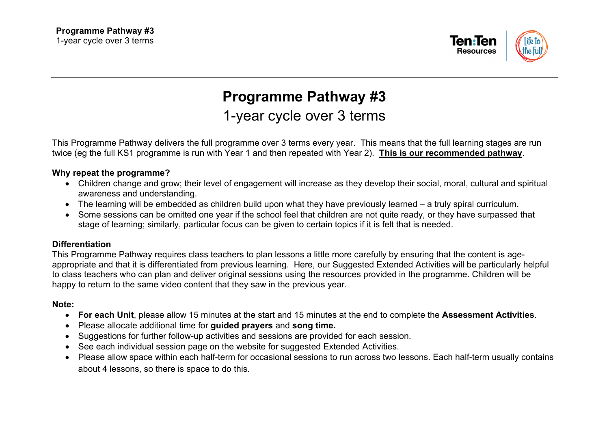

# **Programme Pathway #3** 1-year cycle over 3 terms

This Programme Pathway delivers the full programme over 3 terms every year. This means that the full learning stages are run twice (eg the full KS1 programme is run with Year 1 and then repeated with Year 2). **This is our recommended pathway**.

### **Why repeat the programme?**

- Children change and grow; their level of engagement will increase as they develop their social, moral, cultural and spiritual awareness and understanding.
- The learning will be embedded as children build upon what they have previously learned a truly spiral curriculum.
- Some sessions can be omitted one year if the school feel that children are not quite ready, or they have surpassed that stage of learning; similarly, particular focus can be given to certain topics if it is felt that is needed.

#### **Differentiation**

This Programme Pathway requires class teachers to plan lessons a little more carefully by ensuring that the content is ageappropriate and that it is differentiated from previous learning. Here, our Suggested Extended Activities will be particularly helpful to class teachers who can plan and deliver original sessions using the resources provided in the programme. Children will be happy to return to the same video content that they saw in the previous year.

#### **Note:**

- **For each Unit**, please allow 15 minutes at the start and 15 minutes at the end to complete the **Assessment Activities**.
- Please allocate additional time for **guided prayers** and **song time.**
- Suggestions for further follow-up activities and sessions are provided for each session.
- See each individual session page on the website for suggested Extended Activities.
- Please allow space within each half-term for occasional sessions to run across two lessons. Each half-term usually contains about 4 lessons, so there is space to do this.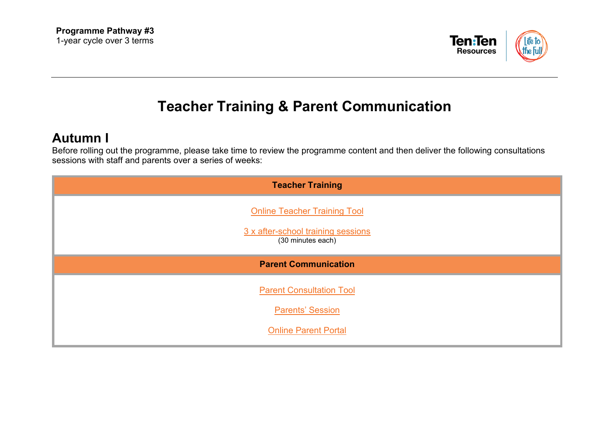

## **Teacher Training & Parent Communication**

## **Autumn I**

Before rolling out the programme, please take time to review the programme content and then deliver the following consultations sessions with staff and parents over a series of weeks:

| <b>Teacher Training</b>                                                                        |
|------------------------------------------------------------------------------------------------|
| <b>Online Teacher Training Tool</b><br>3 x after-school training sessions<br>(30 minutes each) |
| <b>Parent Communication</b>                                                                    |
| <b>Parent Consultation Tool</b>                                                                |
| <b>Parents' Session</b>                                                                        |
| <b>Online Parent Portal</b>                                                                    |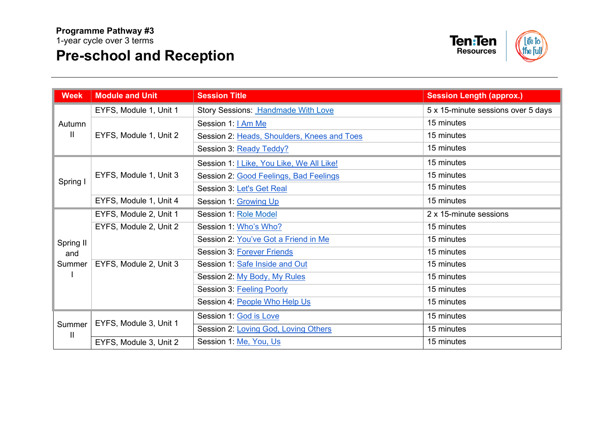# **Pre-school and Reception**



| <b>Week</b>                | <b>Module and Unit</b> | <b>Session Title</b>                        | <b>Session Length (approx.)</b>    |
|----------------------------|------------------------|---------------------------------------------|------------------------------------|
| Autumn<br>H.               | EYFS, Module 1, Unit 1 | <b>Story Sessions: Handmade With Love</b>   | 5 x 15-minute sessions over 5 days |
|                            | EYFS, Module 1, Unit 2 | Session 1:   Am Me                          | 15 minutes                         |
|                            |                        | Session 2: Heads, Shoulders, Knees and Toes | 15 minutes                         |
|                            |                        | Session 3: Ready Teddy?                     | 15 minutes                         |
| Spring I                   | EYFS, Module 1, Unit 3 | Session 1:   Like, You Like, We All Like!   | 15 minutes                         |
|                            |                        | Session 2: Good Feelings, Bad Feelings      | 15 minutes                         |
|                            |                        | Session 3: Let's Get Real                   | 15 minutes                         |
|                            | EYFS, Module 1, Unit 4 | Session 1: Growing Up                       | 15 minutes                         |
| Spring II<br>and<br>Summer | EYFS, Module 2, Unit 1 | Session 1: Role Model                       | 2 x 15-minute sessions             |
|                            | EYFS, Module 2, Unit 2 | Session 1: Who's Who?                       | 15 minutes                         |
|                            |                        | Session 2: You've Got a Friend in Me        | 15 minutes                         |
|                            |                        | Session 3: Forever Friends                  | 15 minutes                         |
|                            | EYFS, Module 2, Unit 3 | Session 1: Safe Inside and Out              | 15 minutes                         |
|                            |                        | Session 2: My Body, My Rules                | 15 minutes                         |
|                            |                        | Session 3: Feeling Poorly                   | 15 minutes                         |
|                            |                        | Session 4: People Who Help Us               | 15 minutes                         |
| Summer<br>$\mathbf{I}$     | EYFS, Module 3, Unit 1 | Session 1: God is Love                      | 15 minutes                         |
|                            |                        | Session 2: Loving God, Loving Others        | 15 minutes                         |
|                            | EYFS, Module 3, Unit 2 | Session 1: Me, You, Us                      | 15 minutes                         |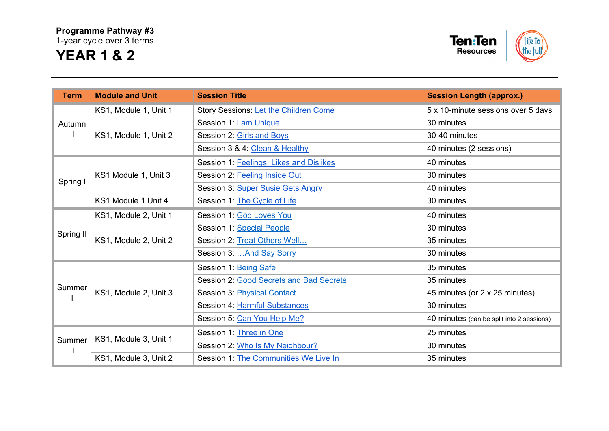### **Programme Pathway #3**

1-year cycle over 3 terms

## **YEAR 1 & 2**



| <b>Term</b>                     | <b>Module and Unit</b> | <b>Session Title</b>                    | <b>Session Length (approx.)</b>           |
|---------------------------------|------------------------|-----------------------------------------|-------------------------------------------|
| Autumn<br>$\mathbf{\mathsf{H}}$ | KS1, Module 1, Unit 1  | Story Sessions: Let the Children Come   | 5 x 10-minute sessions over 5 days        |
|                                 | KS1, Module 1, Unit 2  | Session 1: <b>Lam Unique</b>            | 30 minutes                                |
|                                 |                        | Session 2: Girls and Boys               | 30-40 minutes                             |
|                                 |                        | Session 3 & 4: Clean & Healthy          | 40 minutes (2 sessions)                   |
| Spring I                        | KS1 Module 1, Unit 3   | Session 1: Feelings, Likes and Dislikes | 40 minutes                                |
|                                 |                        | Session 2: Feeling Inside Out           | 30 minutes                                |
|                                 |                        | Session 3: Super Susie Gets Angry       | 40 minutes                                |
|                                 | KS1 Module 1 Unit 4    | Session 1: The Cycle of Life            | 30 minutes                                |
| Spring II                       | KS1, Module 2, Unit 1  | Session 1: God Loves You                | 40 minutes                                |
|                                 | KS1, Module 2, Unit 2  | Session 1: Special People               | 30 minutes                                |
|                                 |                        | Session 2: Treat Others Well            | 35 minutes                                |
|                                 |                        | Session 3:  And Say Sorry               | 30 minutes                                |
| Summer                          | KS1, Module 2, Unit 3  | Session 1: Being Safe                   | 35 minutes                                |
|                                 |                        | Session 2: Good Secrets and Bad Secrets | 35 minutes                                |
|                                 |                        | <b>Session 3: Physical Contact</b>      | 45 minutes (or 2 x 25 minutes)            |
|                                 |                        | Session 4: Harmful Substances           | 30 minutes                                |
|                                 |                        | Session 5: Can You Help Me?             | 40 minutes (can be split into 2 sessions) |
| Summer<br>$\mathbf{H}$          | KS1, Module 3, Unit 1  | Session 1: Three in One                 | 25 minutes                                |
|                                 |                        | Session 2: Who Is My Neighbour?         | 30 minutes                                |
|                                 | KS1, Module 3, Unit 2  | Session 1: The Communities We Live In   | 35 minutes                                |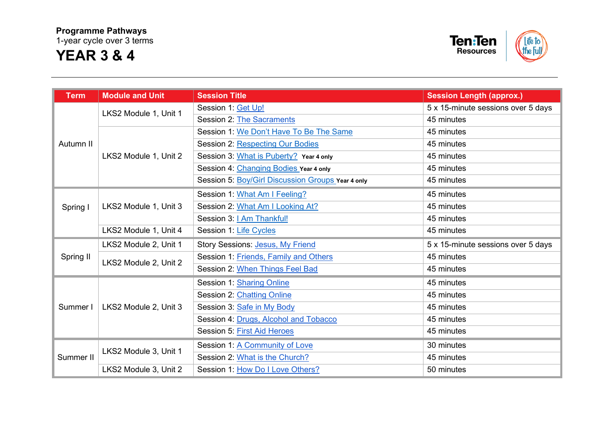### **Programme Pathways**  1-year cycle over 3 terms

## **YEAR 3 & 4**



| <b>Term</b> | <b>Module and Unit</b> | <b>Session Title</b>                              | <b>Session Length (approx.)</b>    |
|-------------|------------------------|---------------------------------------------------|------------------------------------|
| Autumn II   | LKS2 Module 1, Unit 1  | Session 1: Get Up!                                | 5 x 15-minute sessions over 5 days |
|             |                        | Session 2: The Sacraments                         | 45 minutes                         |
|             | LKS2 Module 1, Unit 2  | Session 1: We Don't Have To Be The Same           | 45 minutes                         |
|             |                        | Session 2: Respecting Our Bodies                  | 45 minutes                         |
|             |                        | Session 3: What is Puberty? Year 4 only           | 45 minutes                         |
|             |                        | Session 4: Changing Bodies Year 4 only            | 45 minutes                         |
|             |                        | Session 5: Boy/Girl Discussion Groups Year 4 only | 45 minutes                         |
| Spring I    | LKS2 Module 1, Unit 3  | Session 1: What Am I Feeling?                     | 45 minutes                         |
|             |                        | Session 2: What Am I Looking At?                  | 45 minutes                         |
|             |                        | Session 3: I Am Thankful!                         | 45 minutes                         |
|             | LKS2 Module 1, Unit 4  | Session 1: Life Cycles                            | 45 minutes                         |
| Spring II   | LKS2 Module 2, Unit 1  | Story Sessions: Jesus, My Friend                  | 5 x 15-minute sessions over 5 days |
|             | LKS2 Module 2, Unit 2  | Session 1: Friends, Family and Others             | 45 minutes                         |
|             |                        | Session 2: When Things Feel Bad                   | 45 minutes                         |
| Summer I    | LKS2 Module 2, Unit 3  | Session 1: Sharing Online                         | 45 minutes                         |
|             |                        | Session 2: Chatting Online                        | 45 minutes                         |
|             |                        | Session 3: Safe in My Body                        | 45 minutes                         |
|             |                        | Session 4: Drugs, Alcohol and Tobacco             | 45 minutes                         |
|             |                        | Session 5: First Aid Heroes                       | 45 minutes                         |
| Summer II   | LKS2 Module 3, Unit 1  | Session 1: A Community of Love                    | 30 minutes                         |
|             |                        | Session 2: What is the Church?                    | 45 minutes                         |
|             | LKS2 Module 3, Unit 2  | Session 1: How Do I Love Others?                  | 50 minutes                         |